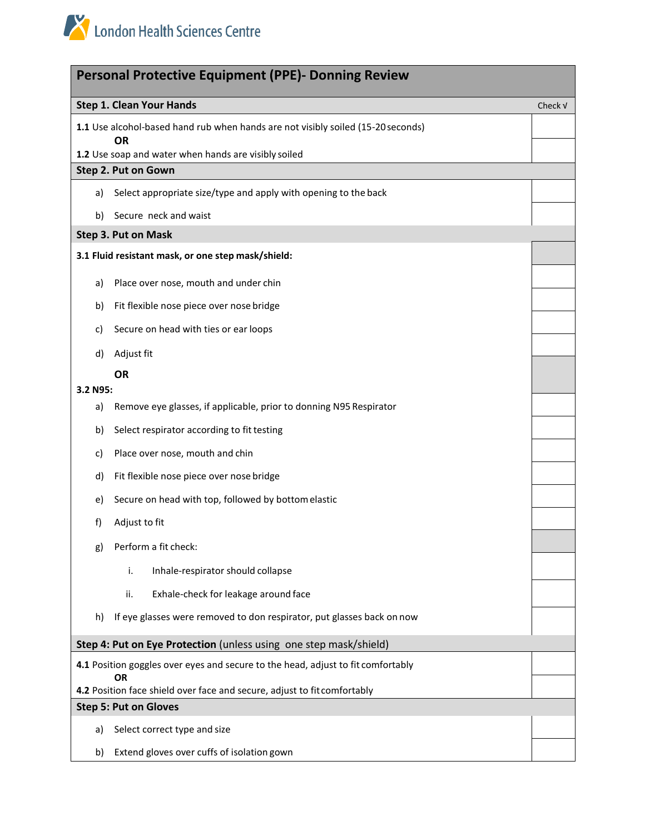| <b>Personal Protective Equipment (PPE)- Donning Review</b>                            |                                                                                               |         |  |
|---------------------------------------------------------------------------------------|-----------------------------------------------------------------------------------------------|---------|--|
|                                                                                       | <b>Step 1. Clean Your Hands</b>                                                               | Check V |  |
|                                                                                       | 1.1 Use alcohol-based hand rub when hands are not visibly soiled (15-20 seconds)<br><b>OR</b> |         |  |
|                                                                                       | 1.2 Use soap and water when hands are visibly soiled                                          |         |  |
| Step 2. Put on Gown                                                                   |                                                                                               |         |  |
| a)                                                                                    | Select appropriate size/type and apply with opening to the back                               |         |  |
| b)                                                                                    | Secure neck and waist                                                                         |         |  |
| Step 3. Put on Mask                                                                   |                                                                                               |         |  |
|                                                                                       | 3.1 Fluid resistant mask, or one step mask/shield:                                            |         |  |
| a)                                                                                    | Place over nose, mouth and under chin                                                         |         |  |
| b)                                                                                    | Fit flexible nose piece over nose bridge                                                      |         |  |
| c)                                                                                    | Secure on head with ties or ear loops                                                         |         |  |
| d)                                                                                    | Adjust fit                                                                                    |         |  |
|                                                                                       | <b>OR</b>                                                                                     |         |  |
| 3.2 N95:                                                                              |                                                                                               |         |  |
| a)                                                                                    | Remove eye glasses, if applicable, prior to donning N95 Respirator                            |         |  |
| b)                                                                                    | Select respirator according to fit testing                                                    |         |  |
| c)                                                                                    | Place over nose, mouth and chin                                                               |         |  |
| d)                                                                                    | Fit flexible nose piece over nose bridge                                                      |         |  |
| e)                                                                                    | Secure on head with top, followed by bottom elastic                                           |         |  |
| f)                                                                                    | Adjust to fit                                                                                 |         |  |
| g)                                                                                    | Perform a fit check:                                                                          |         |  |
|                                                                                       | i.<br>Inhale-respirator should collapse                                                       |         |  |
|                                                                                       | Exhale-check for leakage around face<br>ii.                                                   |         |  |
| h)                                                                                    | If eye glasses were removed to don respirator, put glasses back on now                        |         |  |
| Step 4: Put on Eye Protection (unless using one step mask/shield)                     |                                                                                               |         |  |
| 4.1 Position goggles over eyes and secure to the head, adjust to fit comfortably      |                                                                                               |         |  |
| <b>OR</b><br>4.2 Position face shield over face and secure, adjust to fit comfortably |                                                                                               |         |  |
| <b>Step 5: Put on Gloves</b>                                                          |                                                                                               |         |  |
| a)                                                                                    | Select correct type and size                                                                  |         |  |
| b)                                                                                    | Extend gloves over cuffs of isolation gown                                                    |         |  |